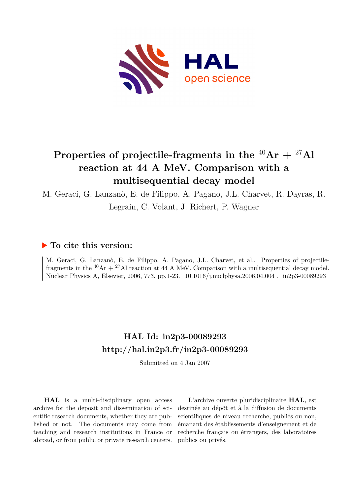

# **Properties of projectile-fragments in the**  $^{40}Ar + ^{27}Al$ **reaction at 44 A MeV. Comparison with a multisequential decay model**

M. Geraci, G. Lanzanò, E. de Filippo, A. Pagano, J.L. Charvet, R. Dayras, R. Legrain, C. Volant, J. Richert, P. Wagner

# **To cite this version:**

M. Geraci, G. Lanzanò, E. de Filippo, A. Pagano, J.L. Charvet, et al.. Properties of projectilefragments in the  ${}^{40}\text{Ar} + {}^{27}\text{Al}$  reaction at 44 A MeV. Comparison with a multisequential decay model. Nuclear Physics A, Elsevier, 2006, 773, pp.1-23. 10.1016/j.nuclphysa.2006.04.004. in2p3-00089293

# **HAL Id: in2p3-00089293 <http://hal.in2p3.fr/in2p3-00089293>**

Submitted on 4 Jan 2007

**HAL** is a multi-disciplinary open access archive for the deposit and dissemination of scientific research documents, whether they are published or not. The documents may come from teaching and research institutions in France or abroad, or from public or private research centers.

L'archive ouverte pluridisciplinaire **HAL**, est destinée au dépôt et à la diffusion de documents scientifiques de niveau recherche, publiés ou non, émanant des établissements d'enseignement et de recherche français ou étrangers, des laboratoires publics ou privés.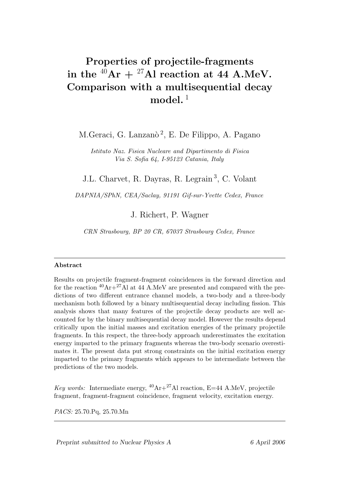# Properties of projectile-fragments in the  $^{40}\text{Ar} + {^{27}\text{Al}}$  reaction at 44 A.MeV. Comparison with a multisequential decay model. $<sup>1</sup>$ </sup>

M.Geraci, G. Lanzanò<sup>2</sup>, E. De Filippo, A. Pagano

Istituto Naz. Fisica Nucleare and Dipartimento di Fisica Via S. Sofia 64, I-95123 Catania, Italy

J.L. Charvet, R. Dayras, R. Legrain<sup>3</sup>, C. Volant

DAPNIA/SPhN, CEA/Saclay, 91191 Gif-sur-Yvette Cedex, France

J. Richert, P. Wagner

CRN Strasbourg, BP 20 CR, 67037 Strasbourg Cedex, France

#### Abstract

Results on projectile fragment-fragment coincidences in the forward direction and for the reaction  ${}^{40}\text{Ar}+{}^{27}\text{Al}$  at 44 A.MeV are presented and compared with the predictions of two different entrance channel models, a two-body and a three-body mechanism both followed by a binary multisequential decay including fission. This analysis shows that many features of the projectile decay products are well accounted for by the binary multisequential decay model. However the results depend critically upon the initial masses and excitation energies of the primary projectile fragments. In this respect, the three-body approach underestimates the excitation energy imparted to the primary fragments whereas the two-body scenario overestimates it. The present data put strong constraints on the initial excitation energy imparted to the primary fragments which appears to be intermediate between the predictions of the two models.

Key words: Intermediate energy,  ${}^{40}\text{Ar}+{}^{27}\text{Al}$  reaction, E=44 A.MeV, projectile fragment, fragment-fragment coincidence, fragment velocity, excitation energy.

PACS: 25.70.Pq, 25.70.Mn

Preprint submitted to Nuclear Physics A 6 April 2006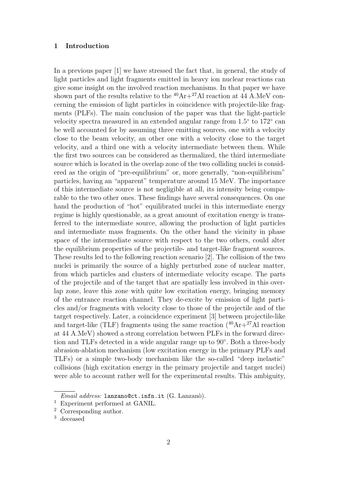#### 1 Introduction

In a previous paper [1] we have stressed the fact that, in general, the study of light particles and light fragments emitted in heavy ion nuclear reactions can give some insight on the involved reaction mechanisms. In that paper we have shown part of the results relative to the  ${}^{40}\text{Ar}+{}^{27}\text{Al}$  reaction at 44 A.MeV concerning the emission of light particles in coincidence with projectile-like fragments (PLFs). The main conclusion of the paper was that the light-particle velocity spectra measured in an extended angular range from 1.5° to 172° can be well accounted for by assuming three emitting sources, one with a velocity close to the beam velocity, an other one with a velocity close to the target velocity, and a third one with a velocity intermediate between them. While the first two sources can be considered as thermalized, the third intermediate source which is located in the overlap zone of the two colliding nuclei is considered as the origin of "pre-equilibrium" or, more generally, "non-equilibrium" particles, having an "apparent" temperature around 15 MeV. The importance of this intermediate source is not negligible at all, its intensity being comparable to the two other ones. These findings have several consequences. On one hand the production of "hot" equilibrated nuclei in this intermediate energy regime is highly questionable, as a great amount of excitation energy is transferred to the intermediate source, allowing the production of light particles and intermediate mass fragments. On the other hand the vicinity in phase space of the intermediate source with respect to the two others, could alter the equilibrium properties of the projectile- and target-like fragment sources. These results led to the following reaction scenario [2]. The collision of the two nuclei is primarily the source of a highly perturbed zone of nuclear matter, from which particles and clusters of intermediate velocity escape. The parts of the projectile and of the target that are spatially less involved in this overlap zone, leave this zone with quite low excitation energy, bringing memory of the entrance reaction channel. They de-excite by emission of light particles and/or fragments with velocity close to those of the projectile and of the target respectively. Later, a coincidence experiment [3] between projectile-like and target-like (TLF) fragments using the same reaction  $(^{40}\text{Ar}+^{27}\text{Al}$  reaction at 44 A.MeV) showed a strong correlation between PLFs in the forward direction and TLFs detected in a wide angular range up to 90◦ . Both a three-body abrasion-ablation mechanism (low excitation energy in the primary PLFs and TLFs) or a simple two-body mechanism like the so-called "deep inelastic" collisions (high excitation energy in the primary projectile and target nuclei) were able to account rather well for the experimental results. This ambiguity,

 $Email$   $address:$   $lanzano@ct.infn.it$   $(G.$   $Lanzanò).$ 

<sup>1</sup> Experiment performed at GANIL.

<sup>2</sup> Corresponding author.

<sup>3</sup> deceased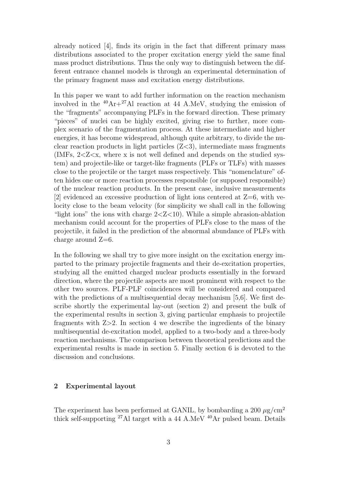already noticed  $[4]$ , finds its origin in the fact that different primary mass distributions associated to the proper excitation energy yield the same final mass product distributions. Thus the only way to distinguish between the different entrance channel models is through an experimental determination of the primary fragment mass and excitation energy distributions.

In this paper we want to add further information on the reaction mechanism involved in the  $^{40}Ar+^{27}Al$  reaction at 44 A.MeV, studying the emission of the "fragments" accompanying PLFs in the forward direction. These primary "pieces" of nuclei can be highly excited, giving rise to further, more complex scenario of the fragmentation process. At these intermediate and higher energies, it has become widespread, although quite arbitrary, to divide the nuclear reaction products in light particles  $(Z<3)$ , intermediate mass fragments (IMFs,  $2 < Z < x$ , where x is not well defined and depends on the studied system) and projectile-like or target-like fragments (PLFs or TLFs) with masses close to the projectile or the target mass respectively. This "nomenclature" often hides one or more reaction processes responsible (or supposed responsible) of the nuclear reaction products. In the present case, inclusive measurements [2] evidenced an excessive production of light ions centered at  $Z=6$ , with velocity close to the beam velocity (for simplicity we shall call in the following "light ions" the ions with charge  $2 < Z < 10$ ). While a simple abrasion-ablation mechanism could account for the properties of PLFs close to the mass of the projectile, it failed in the prediction of the abnormal abundance of PLFs with charge around Z=6.

In the following we shall try to give more insight on the excitation energy imparted to the primary projectile fragments and their de-excitation properties, studying all the emitted charged nuclear products essentially in the forward direction, where the projectile aspects are most prominent with respect to the other two sources. PLF-PLF coincidences will be considered and compared with the predictions of a multisequential decay mechanism [5,6]. We first describe shortly the experimental lay-out (section 2) and present the bulk of the experimental results in section 3, giving particular emphasis to projectile fragments with  $Z>2$ . In section 4 we describe the ingredients of the binary multisequential de-excitation model, applied to a two-body and a three-body reaction mechanisms. The comparison between theoretical predictions and the experimental results is made in section 5. Finally section 6 is devoted to the discussion and conclusions.

# 2 Experimental layout

The experiment has been performed at GANIL, by bombarding a 200  $\mu$ g/cm<sup>2</sup> thick self-supporting <sup>27</sup>Al target with a 44 A.MeV <sup>40</sup>Ar pulsed beam. Details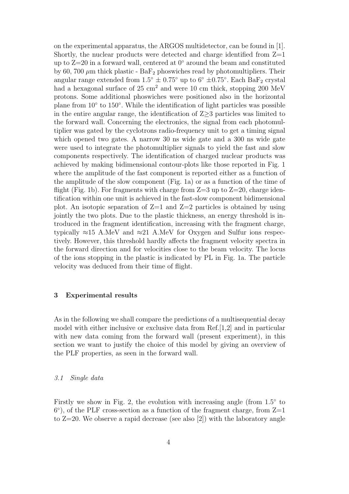on the experimental apparatus, the ARGOS multidetector, can be found in [1]. Shortly, the nuclear products were detected and charge identified from  $Z=1$ up to Z=20 in a forward wall, centered at 0◦ around the beam and constituted by 60, 700  $\mu$ m thick plastic - BaF<sub>2</sub> phoswiches read by photomultipliers. Their angular range extended from  $1.5^{\circ} \pm 0.75^{\circ}$  up to  $6^{\circ} \pm 0.75^{\circ}$ . Each BaF<sub>2</sub> crystal had a hexagonal surface of  $25 \text{ cm}^2$  and were 10 cm thick, stopping 200 MeV protons. Some additional phoswiches were positioned also in the horizontal plane from 10° to 150°. While the identification of light particles was possible in the entire angular range, the identification of  $Z\geq 3$  particles was limited to the forward wall. Concerning the electronics, the signal from each photomultiplier was gated by the cyclotrons radio-frequency unit to get a timing signal which opened two gates. A narrow 30 ns wide gate and a 300 ns wide gate were used to integrate the photomultiplier signals to yield the fast and slow components respectively. The identification of charged nuclear products was achieved by making bidimensional contour-plots like those reported in Fig. 1 where the amplitude of the fast component is reported either as a function of the amplitude of the slow component (Fig. 1a) or as a function of the time of flight (Fig. 1b). For fragments with charge from  $Z=3$  up to  $Z=20$ , charge identification within one unit is achieved in the fast-slow component bidimensional plot. An isotopic separation of  $Z=1$  and  $Z=2$  particles is obtained by using jointly the two plots. Due to the plastic thickness, an energy threshold is introduced in the fragment identification, increasing with the fragment charge, typically  $\approx$ 15 A.MeV and  $\approx$ 21 A.MeV for Oxygen and Sulfur ions respectively. However, this threshold hardly affects the fragment velocity spectra in the forward direction and for velocities close to the beam velocity. The locus of the ions stopping in the plastic is indicated by PL in Fig. 1a. The particle velocity was deduced from their time of flight.

# 3 Experimental results

As in the following we shall compare the predictions of a multisequential decay model with either inclusive or exclusive data from Ref.[1,2] and in particular with new data coming from the forward wall (present experiment), in this section we want to justify the choice of this model by giving an overview of the PLF properties, as seen in the forward wall.

#### 3.1 Single data

Firstly we show in Fig. 2, the evolution with increasing angle (from  $1.5^{\circ}$  to 6 ◦ ), of the PLF cross-section as a function of the fragment charge, from Z=1 to Z=20. We observe a rapid decrease (see also [2]) with the laboratory angle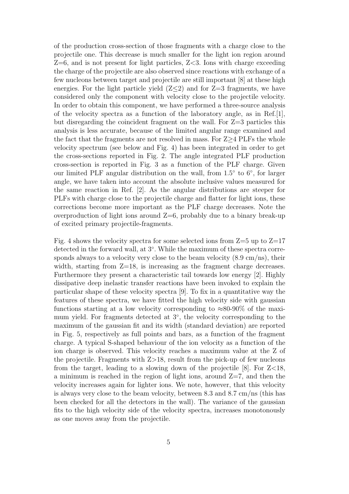of the production cross-section of those fragments with a charge close to the projectile one. This decrease is much smaller for the light ion region around  $Z=6$ , and is not present for light particles,  $Z<3$ . Ions with charge exceeding the charge of the projectile are also observed since reactions with exchange of a few nucleons between target and projectile are still important [8] at these high energies. For the light particle yield  $(Z<2)$  and for  $Z=3$  fragments, we have considered only the component with velocity close to the projectile velocity. In order to obtain this component, we have performed a three-source analysis of the velocity spectra as a function of the laboratory angle, as in Ref.[1], but disregarding the coincident fragment on the wall. For Z=3 particles this analysis is less accurate, because of the limited angular range examined and the fact that the fragments are not resolved in mass. For  $Z \geq 4$  PLFs the whole velocity spectrum (see below and Fig. 4) has been integrated in order to get the cross-sections reported in Fig. 2. The angle integrated PLF production cross-section is reported in Fig. 3 as a function of the PLF charge. Given our limited PLF angular distribution on the wall, from 1.5° to 6°, for larger angle, we have taken into account the absolute inclusive values measured for the same reaction in Ref. [2]. As the angular distributions are steeper for PLFs with charge close to the projectile charge and flatter for light ions, these corrections become more important as the PLF charge decreases. Note the overproduction of light ions around  $Z=6$ , probably due to a binary break-up of excited primary projectile-fragments.

Fig. 4 shows the velocity spectra for some selected ions from  $Z=5$  up to  $Z=17$ detected in the forward wall, at 3◦ . While the maximum of these spectra corresponds always to a velocity very close to the beam velocity (8.9 cm/ns), their width, starting from  $Z=18$ , is increasing as the fragment charge decreases. Furthermore they present a characteristic tail towards low energy [2]. Highly dissipative deep inelastic transfer reactions have been invoked to explain the particular shape of these velocity spectra [9]. To fix in a quantitative way the features of these spectra, we have fitted the high velocity side with gaussian functions starting at a low velocity corresponding to  $\approx 80\text{-}90\%$  of the maximum yield. For fragments detected at 3<sup>°</sup>, the velocity corresponding to the maximum of the gaussian fit and its width (standard deviation) are reported in Fig. 5, respectively as full points and bars, as a function of the fragment charge. A typical S-shaped behaviour of the ion velocity as a function of the ion charge is observed. This velocity reaches a maximum value at the Z of the projectile. Fragments with  $Z>18$ , result from the pick-up of few nucleons from the target, leading to a slowing down of the projectile  $[8]$ . For  $Z<18$ , a minimum is reached in the region of light ions, around  $Z=7$ , and then the velocity increases again for lighter ions. We note, however, that this velocity is always very close to the beam velocity, between 8.3 and 8.7 cm/ns (this has been checked for all the detectors in the wall). The variance of the gaussian fits to the high velocity side of the velocity spectra, increases monotonously as one moves away from the projectile.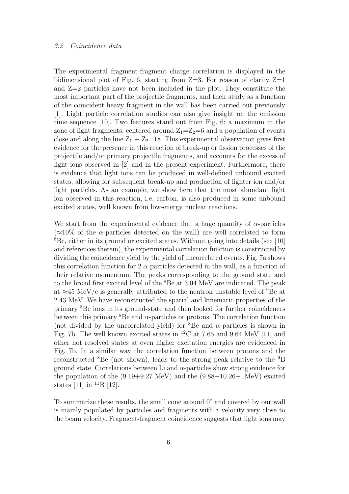The experimental fragment-fragment charge correlation is displayed in the bidimensional plot of Fig. 6, starting from  $Z=3$ . For reason of clarity  $Z=1$ and Z=2 particles have not been included in the plot. They constitute the most important part of the projectile fragments, and their study as a function of the coincident heavy fragment in the wall has been carried out previously [1]. Light particle correlation studies can also give insight on the emission time sequence [10]. Two features stand out from Fig. 6: a maximum in the zone of light fragments, centered around  $Z_1=Z_2=6$  and a population of events close and along the line  $Z_1 + Z_2 = 18$ . This experimental observation gives first evidence for the presence in this reaction of break-up or fission processes of the projectile and/or primary projectile fragments, and accounts for the excess of light ions observed in [2] and in the present experiment. Furthermore, there is evidence that light ions can be produced in well-defined unbound excited states, allowing for subsequent break-up and production of lighter ion and/or light particles. As an example, we show here that the most abundant light ion observed in this reaction, i.e. carbon, is also produced in some unbound excited states, well known from low-energy nuclear reactions.

We start from the experimental evidence that a huge quantity of  $\alpha$ -particles  $(\approx 10\%$  of the α-particles detected on the wall) are well correlated to form <sup>8</sup>Be, either in its ground or excited states. Without going into details (see [10] and references therein), the experimental correlation function is constructed by dividing the coincidence yield by the yield of uncorrelated events. Fig. 7a shows this correlation function for 2  $\alpha$ -particles detected in the wall, as a function of their relative momentum. The peaks corresponding to the ground state and to the broad first excited level of the <sup>8</sup>Be at 3.04 MeV are indicated. The peak at  $\approx$ 45 MeV/c is generally attributed to the neutron unstable level of <sup>9</sup>Be at 2.43 MeV. We have reconstructed the spatial and kinematic properties of the primary <sup>8</sup>Be ions in its ground-state and then looked for further coincidences between this primary  ${}^{8}$ Be and  $\alpha$ -particles or protons. The correlation function (not divided by the uncorrelated yield) for  ${}^{8}$ Be and  $\alpha$ -particles is shown in Fig. 7b. The well known excited states in  ${}^{12}$ C at 7.65 and 9.64 MeV [11] and other not resolved states at even higher excitation energies are evidenced in Fig. 7b. In a similar way the correlation function between protons and the reconstructed  ${}^{8}$ Be (not shown), leads to the strong peak relative to the  ${}^{9}B$ ground state. Correlations between Li and  $\alpha$ -particles show strong evidence for the population of the  $(9.19+9.27 \text{ MeV})$  and the  $(9.88+10.26+... \text{ MeV})$  excited states [11] in  $^{11}B$  [12].

To summarize these results, the small cone around  $0°$  and covered by our wall is mainly populated by particles and fragments with a velocity very close to the beam velocity. Fragment-fragment coincidence suggests that light ions may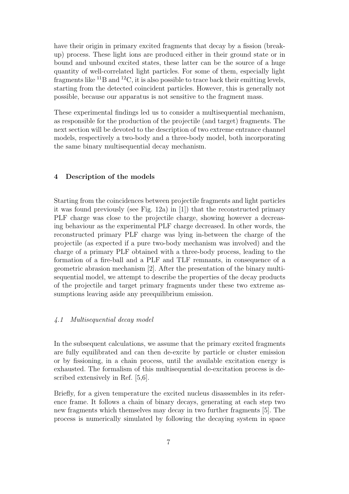have their origin in primary excited fragments that decay by a fission (breakup) process. These light ions are produced either in their ground state or in bound and unbound excited states, these latter can be the source of a huge quantity of well-correlated light particles. For some of them, especially light fragments like  $^{11}B$  and  $^{12}C$ , it is also possible to trace back their emitting levels, starting from the detected coincident particles. However, this is generally not possible, because our apparatus is not sensitive to the fragment mass.

These experimental findings led us to consider a multisequential mechanism, as responsible for the production of the projectile (and target) fragments. The next section will be devoted to the description of two extreme entrance channel models, respectively a two-body and a three-body model, both incorporating the same binary multisequential decay mechanism.

# 4 Description of the models

Starting from the coincidences between projectile fragments and light particles it was found previously (see Fig. 12a) in [1]) that the reconstructed primary PLF charge was close to the projectile charge, showing however a decreasing behaviour as the experimental PLF charge decreased. In other words, the reconstructed primary PLF charge was lying in-between the charge of the projectile (as expected if a pure two-body mechanism was involved) and the charge of a primary PLF obtained with a three-body process, leading to the formation of a fire-ball and a PLF and TLF remnants, in consequence of a geometric abrasion mechanism [2]. After the presentation of the binary multisequential model, we attempt to describe the properties of the decay products of the projectile and target primary fragments under these two extreme assumptions leaving aside any preequilibrium emission.

### 4.1 Multisequential decay model

In the subsequent calculations, we assume that the primary excited fragments are fully equilibrated and can then de-excite by particle or cluster emission or by fissioning, in a chain process, until the available excitation energy is exhausted. The formalism of this multisequential de-excitation process is described extensively in Ref. [5,6].

Briefly, for a given temperature the excited nucleus disassembles in its reference frame. It follows a chain of binary decays, generating at each step two new fragments which themselves may decay in two further fragments [5]. The process is numerically simulated by following the decaying system in space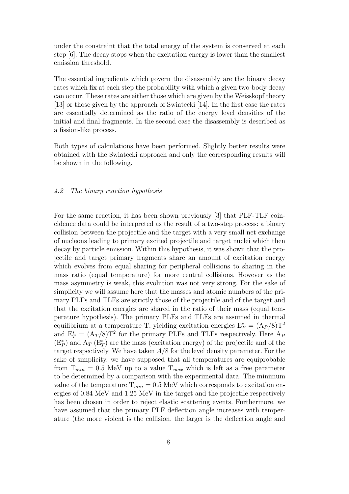under the constraint that the total energy of the system is conserved at each step [6]. The decay stops when the excitation energy is lower than the smallest emission threshold.

The essential ingredients which govern the disassembly are the binary decay rates which fix at each step the probability with which a given two-body decay can occur. These rates are either those which are given by the Weisskopf theory [13] or those given by the approach of Swiatecki [14]. In the first case the rates are essentially determined as the ratio of the energy level densities of the initial and final fragments. In the second case the disassembly is described as a fission-like process.

Both types of calculations have been performed. Slightly better results were obtained with the Swiatecki approach and only the corresponding results will be shown in the following.

### 4.2 The binary reaction hypothesis

For the same reaction, it has been shown previously [3] that PLF-TLF coincidence data could be interpreted as the result of a two-step process: a binary collision between the projectile and the target with a very small net exchange of nucleons leading to primary excited projectile and target nuclei which then decay by particle emission. Within this hypothesis, it was shown that the projectile and target primary fragments share an amount of excitation energy which evolves from equal sharing for peripheral collisions to sharing in the mass ratio (equal temperature) for more central collisions. However as the mass asymmetry is weak, this evolution was not very strong. For the sake of simplicity we will assume here that the masses and atomic numbers of the primary PLFs and TLFs are strictly those of the projectile and of the target and that the excitation energies are shared in the ratio of their mass (equal temperature hypothesis). The primary PLFs and TLFs are assumed in thermal equilibrium at a temperature T, yielding excitation energies  $E_P^* = (A_P/8)T^2$ and  $E_T^* = (A_T/8)T^2$  for the primary PLFs and TLFs respectively. Here  $A_F$  $(E_P^*)$  and  $A_T$   $(E_T^*)$  are the mass (excitation energy) of the projectile and of the target respectively. We have taken  $A/8$  for the level density parameter. For the sake of simplicity, we have supposed that all temperatures are equiprobable from  $T_{min} = 0.5$  MeV up to a value  $T_{max}$  which is left as a free parameter to be determined by a comparison with the experimental data. The minimum value of the temperature  $T_{min} = 0.5$  MeV which corresponds to excitation energies of 0.84 MeV and 1.25 MeV in the target and the projectile respectively has been chosen in order to reject elastic scattering events. Furthermore, we have assumed that the primary PLF deflection angle increases with temperature (the more violent is the collision, the larger is the deflection angle and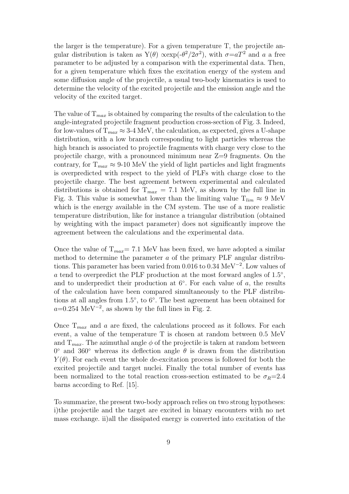the larger is the temperature). For a given temperature T, the projectile angular distribution is taken as  $Y(\theta) \propto exp(-\theta^2/2\sigma^2)$ , with  $\sigma = aT^2$  and a a free parameter to be adjusted by a comparison with the experimental data. Then, for a given temperature which fixes the excitation energy of the system and some diffusion angle of the projectile, a usual two-body kinematics is used to determine the velocity of the excited projectile and the emission angle and the velocity of the excited target.

The value of  $T_{max}$  is obtained by comparing the results of the calculation to the angle-integrated projectile fragment production cross-section of Fig. 3. Indeed, for low-values of  $T_{max} \approx 3.4 \text{ MeV}$ , the calculation, as expected, gives a U-shape distribution, with a low branch corresponding to light particles whereas the high branch is associated to projectile fragments with charge very close to the projectile charge, with a pronounced minimum near Z=9 fragments. On the contrary, for  $T_{max} \approx 9{\text -}10$  MeV the yield of light particles and light fragments is overpredicted with respect to the yield of PLFs with charge close to the projectile charge. The best agreement between experimental and calculated distributions is obtained for  $T_{max} = 7.1$  MeV, as shown by the full line in Fig. 3. This value is somewhat lower than the limiting value  $T_{lim} \approx 9 \text{ MeV}$ which is the energy available in the CM system. The use of a more realistic temperature distribution, like for instance a triangular distribution (obtained by weighting with the impact parameter) does not significantly improve the agreement between the calculations and the experimental data.

Once the value of  $T_{max}$  = 7.1 MeV has been fixed, we have adopted a similar method to determine the parameter a of the primary PLF angular distributions. This parameter has been varied from 0.016 to 0.34 MeV<sup>−</sup><sup>2</sup> . Low values of a tend to overpredict the PLF production at the most forward angles of  $1.5^{\circ}$ , and to underpredict their production at  $6°$ . For each value of  $a$ , the results of the calculation have been compared simultaneously to the PLF distributions at all angles from 1.5◦ , to 6◦ . The best agreement has been obtained for  $a=0.254 \text{ MeV}^{-2}$ , as shown by the full lines in Fig. 2.

Once  $T_{max}$  and a are fixed, the calculations proceed as it follows. For each event, a value of the temperature T is chosen at random between 0.5 MeV and  $T_{max}$ . The azimuthal angle  $\phi$  of the projectile is taken at random between  $0^{\circ}$  and 360° whereas its deflection angle  $\theta$  is drawn from the distribution  $Y(\theta)$ . For each event the whole de-excitation process is followed for both the excited projectile and target nuclei. Finally the total number of events has been normalized to the total reaction cross-section estimated to be  $\sigma_R=2.4$ barns according to Ref. [15].

To summarize, the present two-body approach relies on two strong hypotheses: i)the projectile and the target are excited in binary encounters with no net mass exchange. ii)all the dissipated energy is converted into excitation of the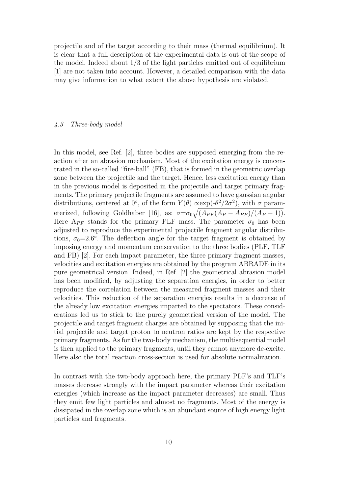projectile and of the target according to their mass (thermal equilibrium). It is clear that a full description of the experimental data is out of the scope of the model. Indeed about 1/3 of the light particles emitted out of equilibrium [1] are not taken into account. However, a detailed comparison with the data may give information to what extent the above hypothesis are violated.

#### 4.3 Three-body model

In this model, see Ref. [2], three bodies are supposed emerging from the reaction after an abrasion mechanism. Most of the excitation energy is concentrated in the so-called "fire-ball" (FB), that is formed in the geometric overlap zone between the projectile and the target. Hence, less excitation energy than in the previous model is deposited in the projectile and target primary fragments. The primary projectile fragments are assumed to have gaussian angular distributions, centered at 0<sup>°</sup>, of the form  $Y(\theta) \propto \exp(-\theta^2/2\sigma^2)$ , with  $\sigma$  parameterized, following Goldhaber [16], as:  $\sigma = \sigma_0 \sqrt{(A_{PF}(A_P - A_{PF})/(A_P - 1)})$ . Here  $A_{PF}$  stands for the primary PLF mass. The parameter  $\sigma_0$  has been adjusted to reproduce the experimental projectile fragment angular distributions,  $\sigma_0 = 2.6^\circ$ . The deflection angle for the target fragment is obtained by imposing energy and momentum conservation to the three bodies (PLF, TLF and FB) [2]. For each impact parameter, the three primary fragment masses, velocities and excitation energies are obtained by the program ABRADE in its pure geometrical version. Indeed, in Ref. [2] the geometrical abrasion model has been modified, by adjusting the separation energies, in order to better reproduce the correlation between the measured fragment masses and their velocities. This reduction of the separation energies results in a decrease of the already low excitation energies imparted to the spectators. These considerations led us to stick to the purely geometrical version of the model. The projectile and target fragment charges are obtained by supposing that the initial projectile and target proton to neutron ratios are kept by the respective primary fragments. As for the two-body mechanism, the multisequential model is then applied to the primary fragments, until they cannot anymore de-excite. Here also the total reaction cross-section is used for absolute normalization.

In contrast with the two-body approach here, the primary PLF's and TLF's masses decrease strongly with the impact parameter whereas their excitation energies (which increase as the impact parameter decreases) are small. Thus they emit few light particles and almost no fragments. Most of the energy is dissipated in the overlap zone which is an abundant source of high energy light particles and fragments.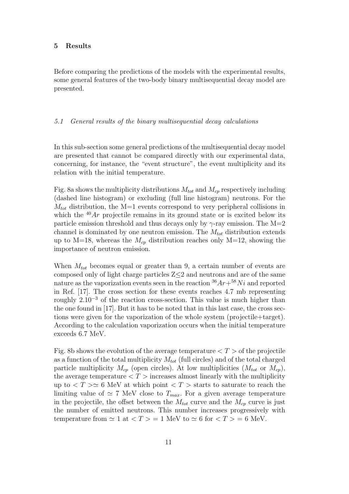#### 5 Results

Before comparing the predictions of the models with the experimental results, some general features of the two-body binary multisequential decay model are presented.

#### 5.1 General results of the binary multisequential decay calculations

In this sub-section some general predictions of the multisequential decay model are presented that cannot be compared directly with our experimental data, concerning, for instance, the "event structure", the event multiplicity and its relation with the initial temperature.

Fig. 8a shows the multiplicity distributions  $M_{tot}$  and  $M_{cp}$  respectively including (dashed line histogram) or excluding (full line histogram) neutrons. For the  $M_{tot}$  distribution, the M=1 events correspond to very peripheral collisions in which the  $^{40}Ar$  projectile remains in its ground state or is excited below its particle emission threshold and thus decays only by  $\gamma$ -ray emission. The M=2 channel is dominated by one neutron emission. The  $M_{tot}$  distribution extends up to  $M=18$ , whereas the  $M_{cp}$  distribution reaches only  $M=12$ , showing the importance of neutron emission.

When  $M_{tot}$  becomes equal or greater than 9, a certain number of events are composed only of light charge particles Z≤2 and neutrons and are of the same nature as the vaporization events seen in the reaction  ${}^{36}Ar+{}^{58}Ni$  and reported in Ref. [17]. The cross section for these events reaches 4.7 mb representing roughly 2.10<sup>−</sup><sup>3</sup> of the reaction cross-section. This value is much higher than the one found in [17]. But it has to be noted that in this last case, the cross sections were given for the vaporization of the whole system (projectile+target). According to the calculation vaporization occurs when the initial temperature exceeds 6.7 MeV.

Fig. 8b shows the evolution of the average temperature  $\langle T \rangle$  of the projectile as a function of the total multiplicity  $M_{tot}$  (full circles) and of the total charged particle multiplicity  $M_{cp}$  (open circles). At low multiplicities  $(M_{tot}$  or  $M_{cp})$ , the average temperature  $\langle T \rangle$  increases almost linearly with the multiplicity up to  $\langle T \rangle \simeq 6$  MeV at which point  $\langle T \rangle$  starts to saturate to reach the limiting value of  $\simeq 7$  MeV close to  $T_{max}$ . For a given average temperature in the projectile, the offset between the  $M_{tot}$  curve and the  $M_{cp}$  curve is just the number of emitted neutrons. This number increases progressively with temperature from  $\simeq 1$  at  $\langle T \rangle = 1$  MeV to  $\simeq 6$  for  $\langle T \rangle = 6$  MeV.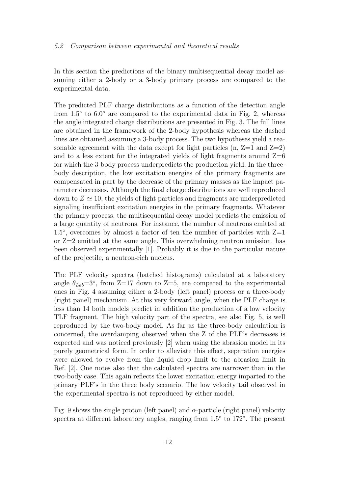In this section the predictions of the binary multisequential decay model assuming either a 2-body or a 3-body primary process are compared to the experimental data.

The predicted PLF charge distributions as a function of the detection angle from  $1.5^{\circ}$  to  $6.0^{\circ}$  are compared to the experimental data in Fig. 2, whereas the angle integrated charge distributions are presented in Fig. 3. The full lines are obtained in the framework of the 2-body hypothesis whereas the dashed lines are obtained assuming a 3-body process. The two hypotheses yield a reasonable agreement with the data except for light particles  $(n, Z=1 \text{ and } Z=2)$ and to a less extent for the integrated yields of light fragments around  $Z=6$ for which the 3-body process underpredicts the production yield. In the threebody description, the low excitation energies of the primary fragments are compensated in part by the decrease of the primary masses as the impact parameter decreases. Although the final charge distributions are well reproduced down to  $Z \simeq 10$ , the yields of light particles and fragments are underpredicted signaling insufficient excitation energies in the primary fragments. Whatever the primary process, the multisequential decay model predicts the emission of a large quantity of neutrons. For instance, the number of neutrons emitted at  $1.5^\circ$ , overcomes by almost a factor of ten the number of particles with  $Z=1$ or Z=2 emitted at the same angle. This overwhelming neutron emission, has been observed experimentally [1]. Probably it is due to the particular nature of the projectile, a neutron-rich nucleus.

The PLF velocity spectra (hatched histograms) calculated at a laboratory angle  $\theta_{Lab}=3^{\circ}$ , from Z=17 down to Z=5, are compared to the experimental ones in Fig. 4 assuming either a 2-body (left panel) process or a three-body (right panel) mechanism. At this very forward angle, when the PLF charge is less than 14 both models predict in addition the production of a low velocity TLF fragment. The high velocity part of the spectra, see also Fig. 5, is well reproduced by the two-body model. As far as the three-body calculation is concerned, the overdamping observed when the Z of the PLF's decreases is expected and was noticed previously [2] when using the abrasion model in its purely geometrical form. In order to alleviate this effect, separation energies were allowed to evolve from the liquid drop limit to the abrasion limit in Ref. [2]. One notes also that the calculated spectra are narrower than in the two-body case. This again reflects the lower excitation energy imparted to the primary PLF's in the three body scenario. The low velocity tail observed in the experimental spectra is not reproduced by either model.

Fig. 9 shows the single proton (left panel) and  $\alpha$ -particle (right panel) velocity spectra at different laboratory angles, ranging from 1.5<sup>°</sup> to 172<sup>°</sup>. The present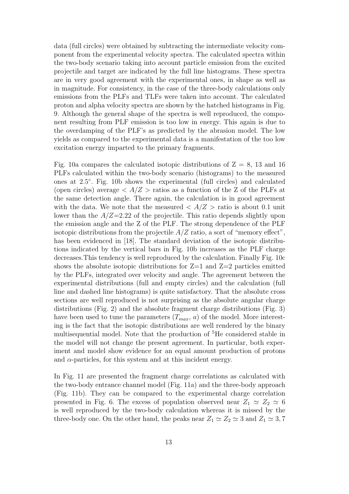data (full circles) were obtained by subtracting the intermediate velocity component from the experimental velocity spectra. The calculated spectra within the two-body scenario taking into account particle emission from the excited projectile and target are indicated by the full line histograms. These spectra are in very good agreement with the experimental ones, in shape as well as in magnitude. For consistency, in the case of the three-body calculations only emissions from the PLFs and TLFs were taken into account. The calculated proton and alpha velocity spectra are shown by the hatched histograms in Fig. 9. Although the general shape of the spectra is well reproduced, the component resulting from PLF emission is too low in energy. This again is due to the overdamping of the PLF's as predicted by the abrasion model. The low yields as compared to the experimental data is a manifestation of the too low excitation energy imparted to the primary fragments.

Fig. 10a compares the calculated isotopic distributions of  $Z = 8$ , 13 and 16 PLFs calculated within the two-body scenario (histograms) to the measured ones at 2.5◦ . Fig. 10b shows the experimental (full circles) and calculated (open circles) average  $\langle A/Z \rangle$  ratios as a function of the Z of the PLFs at the same detection angle. There again, the calculation is in good agreement with the data. We note that the measured  $\langle A/Z \rangle$  ratio is about 0.1 unit lower than the  $A/Z=2.22$  of the projectile. This ratio depends slightly upon the emission angle and the Z of the PLF. The strong dependence of the PLF isotopic distributions from the projectile  $A/Z$  ratio, a sort of "memory effect", has been evidenced in [18]. The standard deviation of the isotopic distributions indicated by the vertical bars in Fig. 10b increases as the PLF charge decreases.This tendency is well reproduced by the calculation. Finally Fig. 10c shows the absolute isotopic distributions for  $Z=1$  and  $Z=2$  particles emitted by the PLFs, integrated over velocity and angle. The agreement between the experimental distributions (full and empty circles) and the calculation (full line and dashed line histograms) is quite satisfactory. That the absolute cross sections are well reproduced is not surprising as the absolute angular charge distributions (Fig. 2) and the absolute fragment charge distributions (Fig. 3) have been used to tune the parameters  $(T_{max}, a)$  of the model. More interesting is the fact that the isotopic distributions are well rendered by the binary multisequential model. Note that the production of <sup>5</sup>He considered stable in the model will not change the present agreement. In particular, both experiment and model show evidence for an equal amount production of protons and  $\alpha$ -particles, for this system and at this incident energy.

In Fig. 11 are presented the fragment charge correlations as calculated with the two-body entrance channel model (Fig. 11a) and the three-body approach (Fig. 11b). They can be compared to the experimental charge correlation presented in Fig. 6. The excess of population observed near  $Z_1 \simeq Z_2 \simeq 6$ is well reproduced by the two-body calculation whereas it is missed by the three-body one. On the other hand, the peaks near  $Z_1 \simeq Z_2 \simeq 3$  and  $Z_1 \simeq 3, 7$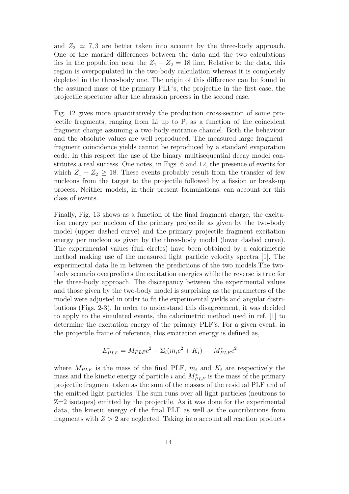and  $Z_2 \simeq 7, 3$  are better taken into account by the three-body approach. One of the marked differences between the data and the two calculations lies in the population near the  $Z_1 + Z_2 = 18$  line. Relative to the data, this region is overpopulated in the two-body calculation whereas it is completely depleted in the three-body one. The origin of this difference can be found in the assumed mass of the primary PLF's, the projectile in the first case, the projectile spectator after the abrasion process in the second case.

Fig. 12 gives more quantitatively the production cross-section of some projectile fragments, ranging from Li up to P, as a function of the coincident fragment charge assuming a two-body entrance channel. Both the behaviour and the absolute values are well reproduced. The measured large fragmentfragment coincidence yields cannot be reproduced by a standard evaporation code. In this respect the use of the binary multisequential decay model constitutes a real success. One notes, in Figs. 6 and 12, the presence of events for which  $Z_1 + Z_2 \geq 18$ . These events probably result from the transfer of few nucleons from the target to the projectile followed by a fission or break-up process. Neither models, in their present formulations, can account for this class of events.

Finally, Fig. 13 shows as a function of the final fragment charge, the excitation energy per nucleon of the primary projectile as given by the two-body model (upper dashed curve) and the primary projectile fragment excitation energy per nucleon as given by the three-body model (lower dashed curve). The experimental values (full circles) have been obtained by a calorimetric method making use of the measured light particle velocity spectra [1]. The experimental data lie in between the predictions of the two models.The twobody scenario overpredicts the excitation energies while the reverse is true for the three-body approach. The discrepancy between the experimental values and those given by the two-body model is surprising as the parameters of the model were adjusted in order to fit the experimental yields and angular distributions (Figs. 2-3). In order to understand this disagreement, it was decided to apply to the simulated events, the calorimetric method used in ref. [1] to determine the excitation energy of the primary PLF's. For a given event, in the projectile frame of reference, this excitation energy is defined as,

$$
E_{PLF}^* = M_{PLF}c^2 + \Sigma_i(m_ic^2 + K_i) - M_{PLF}^*c^2
$$

where  $M_{PLF}$  is the mass of the final PLF,  $m_i$  and  $K_i$  are respectively the mass and the kinetic energy of particle i and  $M_{PLF}^*$  is the mass of the primary projectile fragment taken as the sum of the masses of the residual PLF and of the emitted light particles. The sum runs over all light particles (neutrons to  $Z=2$  isotopes) emitted by the projectile. As it was done for the experimental data, the kinetic energy of the final PLF as well as the contributions from fragments with  $Z > 2$  are neglected. Taking into account all reaction products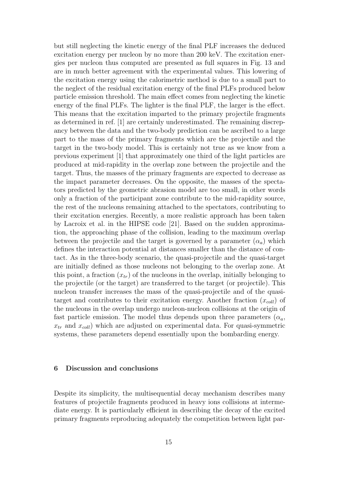but still neglecting the kinetic energy of the final PLF increases the deduced excitation energy per nucleon by no more than 200 keV. The excitation energies per nucleon thus computed are presented as full squares in Fig. 13 and are in much better agreement with the experimental values. This lowering of the excitation energy using the calorimetric method is due to a small part to the neglect of the residual excitation energy of the final PLFs produced below particle emission threshold. The main effect comes from neglecting the kinetic energy of the final PLFs. The lighter is the final PLF, the larger is the effect. This means that the excitation imparted to the primary projectile fragments as determined in ref. [1] are certainly underestimated. The remaining discrepancy between the data and the two-body prediction can be ascribed to a large part to the mass of the primary fragments which are the projectile and the target in the two-body model. This is certainly not true as we know from a previous experiment [1] that approximately one third of the light particles are produced at mid-rapidity in the overlap zone between the projectile and the target. Thus, the masses of the primary fragments are expected to decrease as the impact parameter decreases. On the opposite, the masses of the spectators predicted by the geometric abrasion model are too small, in other words only a fraction of the participant zone contribute to the mid-rapidity source, the rest of the nucleons remaining attached to the spectators, contributing to their excitation energies. Recently, a more realistic approach has been taken by Lacroix et al. in the HIPSE code [21]. Based on the sudden approximation, the approaching phase of the collision, leading to the maximum overlap between the projectile and the target is governed by a parameter  $(\alpha_a)$  which defines the interaction potential at distances smaller than the distance of contact. As in the three-body scenario, the quasi-projectile and the quasi-target are initially defined as those nucleons not belonging to the overlap zone. At this point, a fraction  $(x_{tr})$  of the nucleons in the overlap, initially belonging to the projectile (or the target) are transferred to the target (or projectile). This nucleon transfer increases the mass of the quasi-projectile and of the quasitarget and contributes to their excitation energy. Another fraction  $(x_{coll})$  of the nucleons in the overlap undergo nucleon-nucleon collisions at the origin of fast particle emission. The model thus depends upon three parameters  $(\alpha_a, \beta_a)$  $x_{tr}$  and  $x_{coll}$ ) which are adjusted on experimental data. For quasi-symmetric systems, these parameters depend essentially upon the bombarding energy.

# 6 Discussion and conclusions

Despite its simplicity, the multisequential decay mechanism describes many features of projectile fragments produced in heavy ions collisions at intermediate energy. It is particularly efficient in describing the decay of the excited primary fragments reproducing adequately the competition between light par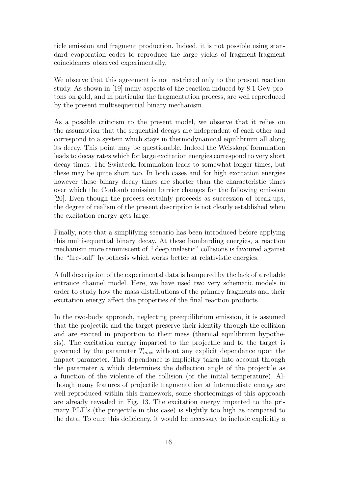ticle emission and fragment production. Indeed, it is not possible using standard evaporation codes to reproduce the large yields of fragment-fragment coincidences observed experimentally.

We observe that this agreement is not restricted only to the present reaction study. As shown in [19] many aspects of the reaction induced by 8.1 GeV protons on gold, and in particular the fragmentation process, are well reproduced by the present multisequential binary mechanism.

As a possible criticism to the present model, we observe that it relies on the assumption that the sequential decays are independent of each other and correspond to a system which stays in thermodynamical equilibrium all along its decay. This point may be questionable. Indeed the Weisskopf formulation leads to decay rates which for large excitation energies correspond to very short decay times. The Swiatecki formulation leads to somewhat longer times, but these may be quite short too. In both cases and for high excitation energies however these binary decay times are shorter than the characteristic times over which the Coulomb emission barrier changes for the following emission [20]. Even though the process certainly proceeds as succession of break-ups, the degree of realism of the present description is not clearly established when the excitation energy gets large.

Finally, note that a simplifying scenario has been introduced before applying this multisequential binary decay. At these bombarding energies, a reaction mechanism more reminiscent of " deep inelastic" collisions is favoured against the "fire-ball" hypothesis which works better at relativistic energies.

A full description of the experimental data is hampered by the lack of a reliable entrance channel model. Here, we have used two very schematic models in order to study how the mass distributions of the primary fragments and their excitation energy affect the properties of the final reaction products.

In the two-body approach, neglecting preequilibrium emission, it is assumed that the projectile and the target preserve their identity through the collision and are excited in proportion to their mass (thermal equilibrium hypothesis). The excitation energy imparted to the projectile and to the target is governed by the parameter  $T_{max}$  without any explicit dependance upon the impact parameter. This dependance is implicitly taken into account through the parameter  $\alpha$  which determines the deflection angle of the projectile as a function of the violence of the collision (or the initial temperature). Although many features of projectile fragmentation at intermediate energy are well reproduced within this framework, some shortcomings of this approach are already revealed in Fig. 13. The excitation energy imparted to the primary PLF's (the projectile in this case) is slightly too high as compared to the data. To cure this deficiency, it would be necessary to include explicitly a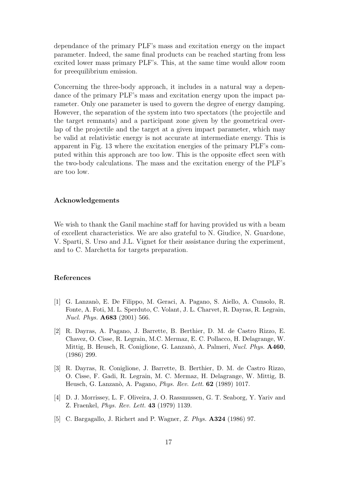dependance of the primary PLF's mass and excitation energy on the impact parameter. Indeed, the same final products can be reached starting from less excited lower mass primary PLF's. This, at the same time would allow room for preequilibrium emission.

Concerning the three-body approach, it includes in a natural way a dependance of the primary PLF's mass and excitation energy upon the impact parameter. Only one parameter is used to govern the degree of energy damping. However, the separation of the system into two spectators (the projectile and the target remnants) and a participant zone given by the geometrical overlap of the projectile and the target at a given impact parameter, which may be valid at relativistic energy is not accurate at intermediate energy. This is apparent in Fig. 13 where the excitation energies of the primary PLF's computed within this approach are too low. This is the opposite effect seen with the two-body calculations. The mass and the excitation energy of the PLF's are too low.

#### Acknowledgements

We wish to thank the Ganil machine staff for having provided us with a beam of excellent characteristics. We are also grateful to N. Giudice, N. Guardone, V. Sparti, S. Urso and J.L. Vignet for their assistance during the experiment, and to C. Marchetta for targets preparation.

# References

- [1] G. Lanzan`o, E. De Filippo, M. Geraci, A. Pagano, S. Aiello, A. Cunsolo, R. Fonte, A. Foti, M. L. Sperduto, C. Volant, J. L. Charvet, R. Dayras, R. Legrain, Nucl. Phys. A683 (2001) 566.
- [2] R. Dayras, A. Pagano, J. Barrette, B. Berthier, D. M. de Castro Rizzo, E. Chavez, O. Cisse, R. Legrain, M.C. Mermaz, E. C. Pollacco, H. Delagrange, W. Mittig, B. Heusch, R. Coniglione, G. Lanzanò, A. Palmeri, Nucl. Phys. **A460**, (1986) 299.
- [3] R. Dayras, R. Coniglione, J. Barrette, B. Berthier, D. M. de Castro Rizzo, O. Cisse, F. Gadi, R. Legrain, M. C. Mermaz, H. Delagrange, W. Mittig, B. Heusch, G. Lanzanò, A. Pagano, *Phys. Rev. Lett.* **62** (1989) 1017.
- [4] D. J. Morrissey, L. F. Oliveira, J. O. Rassmussen, G. T. Seaborg, Y. Yariv and Z. Fraenkel, Phys. Rev. Lett. 43 (1979) 1139.
- [5] C. Bargagallo, J. Richert and P. Wagner, Z. Phys. A324 (1986) 97.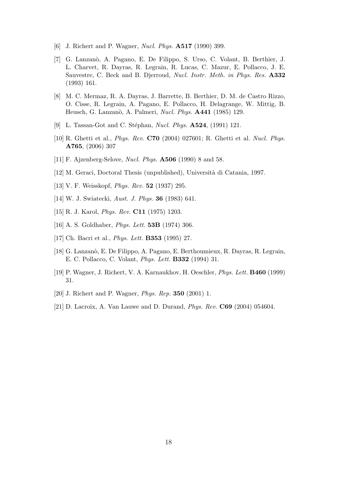- [6] J. Richert and P. Wagner, *Nucl. Phys.* **A517** (1990) 399.
- [7] G. Lanzan`o, A. Pagano, E. De Filippo, S. Urso, C. Volant, B. Berthier, J. L. Charvet, R. Dayras, R. Legrain, R. Lucas, C. Mazur, E. Pollacco, J. E. Sauvestre, C. Beck and B. Djerroud, Nucl. Instr. Meth. in Phys. Res. A332 (1993) 161.
- [8] M. C. Mermaz, R. A. Dayras, J. Barrette, B. Berthier, D. M. de Castro Rizzo, O. Cisse, R. Legrain, A. Pagano, E. Pollacco, H. Delagrange, W. Mittig, B. Heusch, G. Lanzanò, A. Palmeri, Nucl. Phys. **A441** (1985) 129.
- [9] L. Tassan-Got and C. Stéphan, *Nucl. Phys.* **A524**, (1991) 121.
- [10] R. Ghetti et al., Phys. Rev. C70 (2004) 027601; R. Ghetti et al. Nucl. Phys. A765, (2006) 307
- [11] F. Ajzenberg-Selove, Nucl. Phys. A506 (1990) 8 and 58.
- [12] M. Geraci, Doctoral Thesis (unpublished), Universit`a di Catania, 1997.
- [13] V. F. Weisskopf, Phys. Rev. 52 (1937) 295.
- [14] W. J. Swiatecki, Aust. J. Phys. 36 (1983) 641.
- [15] R. J. Karol, Phys. Rev. C11 (1975) 1203.
- [16] A. S. Goldhaber, Phys. Lett. 53B (1974) 306.
- [17] Ch. Bacri et al., *Phys. Lett.* **B353** (1995) 27.
- [18] G. Lanzan`o, E. De Filippo, A. Pagano, E. Berthoumieux, R. Dayras, R. Legrain, E. C. Pollacco, C. Volant, Phys. Lett. B332 (1994) 31.
- [19] P. Wagner, J. Richert, V. A. Karnaukhov, H. Oeschler, Phys. Lett. B460 (1999) 31.
- [20] J. Richert and P. Wagner, Phys. Rep. 350 (2001) 1.
- [21] D. Lacroix, A. Van Lauwe and D. Durand, Phys. Rev. C69 (2004) 054604.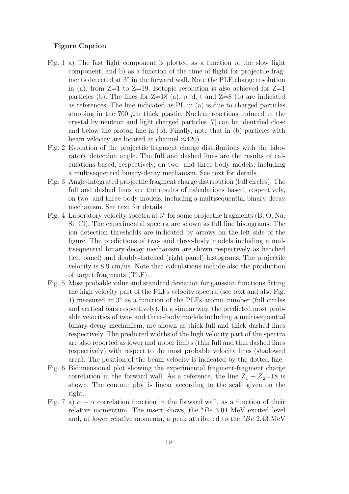### Figure Caption

- Fig. 1 a) The fast light component is plotted as a function of the slow light component, and b) as a function of the time-of-flight for projectile fragments detected at 3<sup>°</sup> in the forward wall. Note the PLF charge resolution in (a), from  $Z=1$  to  $Z=19$ . Isotopic resolution is also achieved for  $Z=1$ particles (b). The lines for  $Z=18$  (a), p, d, t and  $Z=8$  (b) are indicated as references. The line indicated as PL in (a) is due to charged particles stopping in the 700  $\mu$ m thick plastic. Nuclear reactions induced in the crystal by neutron and light charged particles [7] can be identified close and below the proton line in (b). Finally, note that in (b) particles with beam velocity are located at channel  $\approx 420$ ).
- Fig. 2 Evolution of the projectile fragment charge distributions with the laboratory detection angle. The full and dashed lines are the results of calculations based, respectively, on two- and three-body models, including a multisequential binary-decay mechanism. See text for details.
- Fig. 3 Angle-integrated projectile fragment charge distribution (full circles). The full and dashed lines are the results of calculations based, respectively, on two- and three-body models, including a multisequential binary-decay mechanism. See text for details.
- Fig. 4 Laboratory velocity spectra at 3◦ for some projectile fragments (B, O, Na, Si, Cl). The experimental spectra are shown as full line histograms. The ion detection thresholds are indicated by arrows on the left side of the figure. The predictions of two- and three-body models including a multisequential binary-decay mechanism are shown respectively as hatched (left panel) and doubly-hatched (right panel) histograms. The projectile velocity is 8.9 cm/ns. Note that calculations include also the production of target fragments (TLF).
- Fig. 5 Most probable value and standard deviation for gaussian functions fitting the high velocity part of the PLFs velocity spectra (see text and also Fig. 4) measured at 3◦ as a function of the PLFs atomic number (full circles and vertical bars respectively). In a similar way, the predicted most probable velocities of two- and three-body models including a multisequential binary-decay mechanism, are shown as thick full and thick dashed lines respectively. The predicted widths of the high velocity part of the spectra are also reported as lower and upper limits (thin full and thin dashed lines respectively) with respect to the most probable velocity lines (shadowed area). The position of the beam velocity is indicated by the dotted line.
- Fig. 6 Bidimensional plot showing the experimental fragment-fragment charge correlation in the forward wall. As a reference, the line  $Z_1 + Z_2 = 18$  is shown. The contour plot is linear according to the scale given on the right.
- Fig. 7 a)  $\alpha \alpha$  correlation function in the forward wall, as a function of their relative momentum. The insert shows, the  ${}^{8}Be$  3.04 MeV excited level and, at lower relative momenta, a peak attributed to the  ${}^{9}Be$  2.43 MeV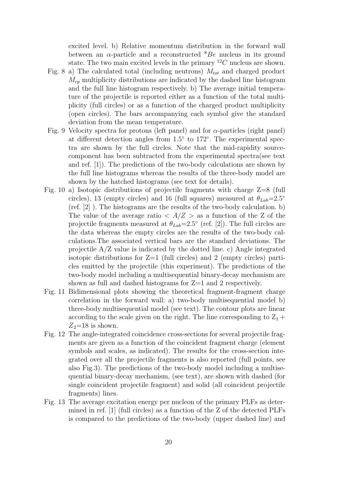excited level. b) Relative momentum distribution in the forward wall between an  $\alpha$ -particle and a reconstructed  ${}^{8}Be$  nucleus in its ground state. The two main excited levels in the primary  ${}^{12}C$  nucleus are shown.

- Fig. 8 a) The calculated total (including neutrons)  $M_{tot}$  and charged product  $M_{cp}$  multiplicity distributions are indicated by the dashed line histogram and the full line histogram respectively. b) The average initial temperature of the projectile is reported either as a function of the total multiplicity (full circles) or as a function of the charged product multiplicity (open circles). The bars accompanying each symbol give the standard deviation from the mean temperature.
- Fig. 9 Velocity spectra for protons (left panel) and for  $\alpha$ -particles (right panel) at different detection angles from 1.5° to 172°. The experimental spectra are shown by the full circles. Note that the mid-rapidity sourcecomponent has been subtracted from the experimental spectra(see text and ref. [1]). The predictions of the two-body calculations are shown by the full line histograms whereas the results of the three-body model are shown by the hatched histograms (see text for details).
- Fig. 10 a) Isotopic distributions of projectile fragments with charge Z=8 (full circles), 13 (empty circles) and 16 (full squares) measured at  $\theta_{Lab}=2.5^{\circ}$ (ref. [2] ). The histograms are the results of the two-body calculation. b) The value of the average ratio  $\langle A/Z \rangle$  as a function of the Z of the projectile fragments measured at  $\theta_{Lab}=2.5^{\circ}$  (ref. [2]). The full circles are the data whereas the empty circles are the results of the two-body calculations.The associated vertical bars are the standard deviations. The projectile A/Z value is indicated by the dotted line. c) Angle integrated isotopic distributions for  $Z=1$  (full circles) and 2 (empty circles) particles emitted by the projectile (this experiment). The predictions of the two-body model including a multisequential binary-decay mechanism are shown as full and dashed histograms for Z=1 and 2 respectively.
- Fig. 11 Bidimensional plots showing the theoretical fragment-fragment charge correlation in the forward wall: a) two-body multisequential model b) three-body multisequential model (see text). The contour plots are linear according to the scale given on the right. The line corresponding to  $Z_1 +$  $Z_2$ =18 is shown.
- Fig. 12 The angle-integrated coincidence cross-sections for several projectile fragments are given as a function of the coincident fragment charge (element symbols and scales, as indicated). The results for the cross-section integrated over all the projectile fragments is also reported (full points, see also Fig.3). The predictions of the two-body model including a multisequential binary-decay mechanism, (see text), are shown with dashed (for single coincident projectile fragment) and solid (all coincident projectile fragments) lines.
- Fig. 13 The average excitation energy per nucleon of the primary PLFs as determined in ref. [1] (full circles) as a function of the Z of the detected PLFs is compared to the predictions of the two-body (upper dashed line) and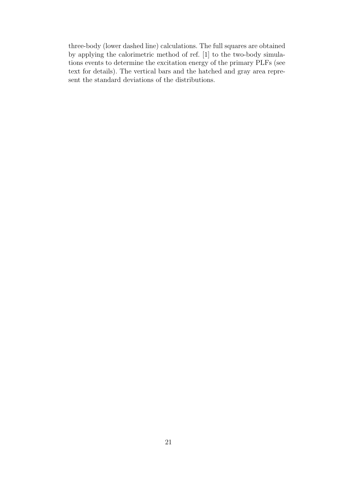three-body (lower dashed line) calculations. The full squares are obtained by applying the calorimetric method of ref. [1] to the two-body simulations events to determine the excitation energy of the primary PLFs (see text for details). The vertical bars and the hatched and gray area represent the standard deviations of the distributions.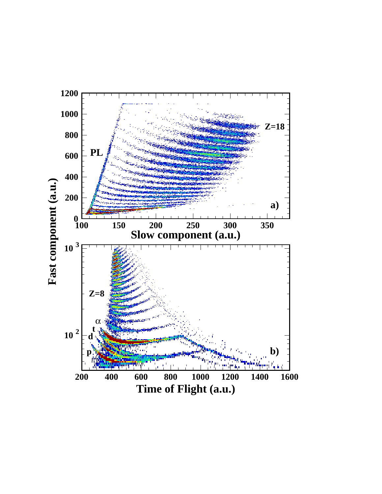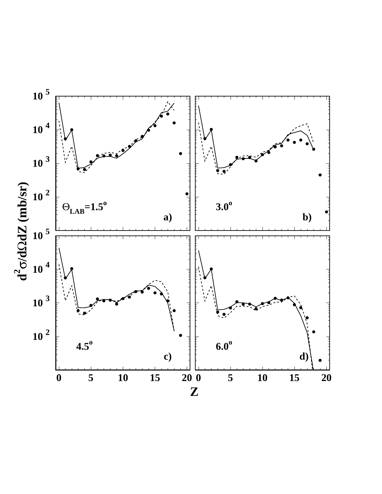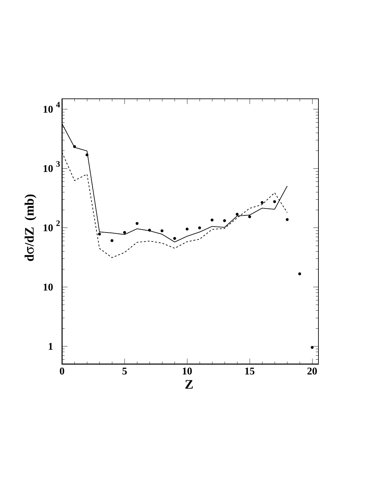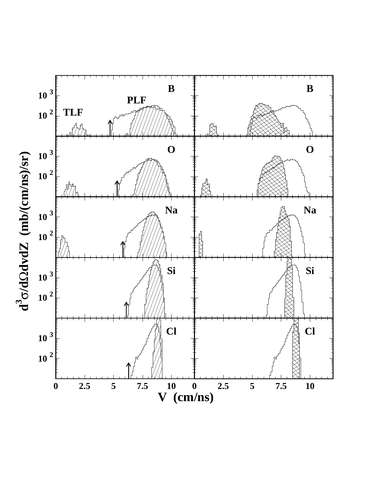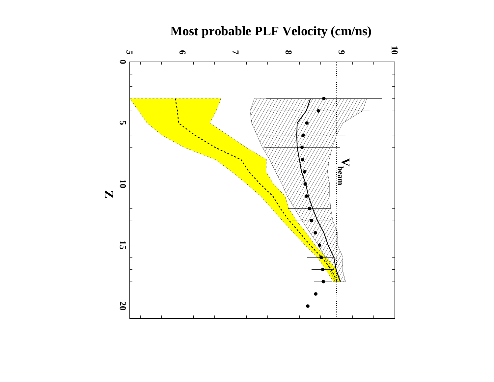# **6 7 8 9 Most probable PLF Velocity (cm/ns)**

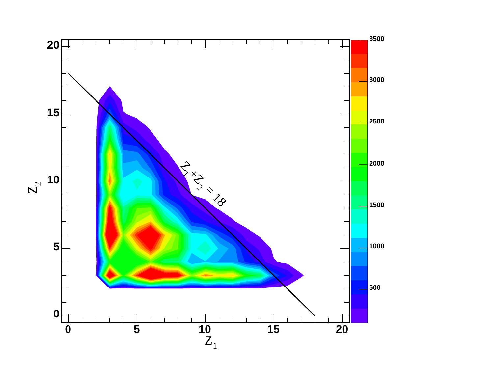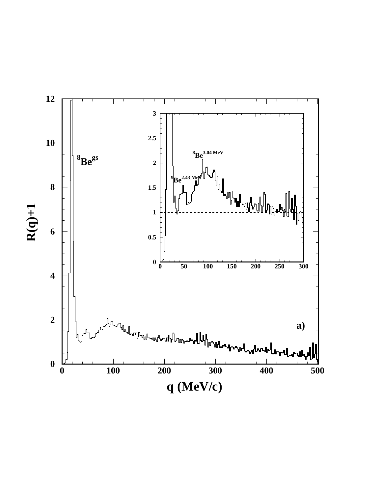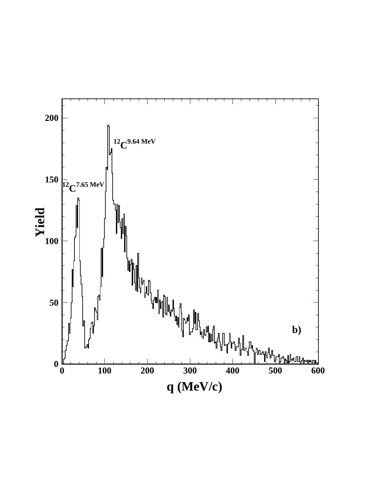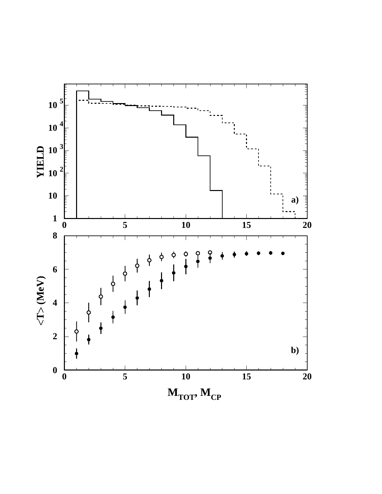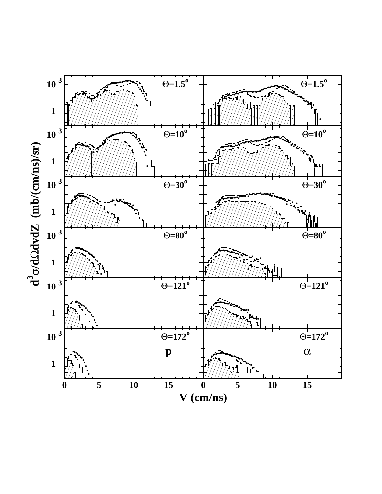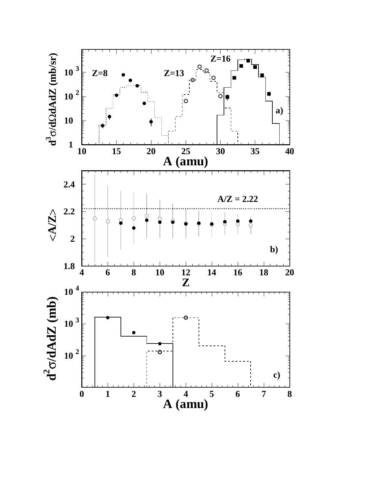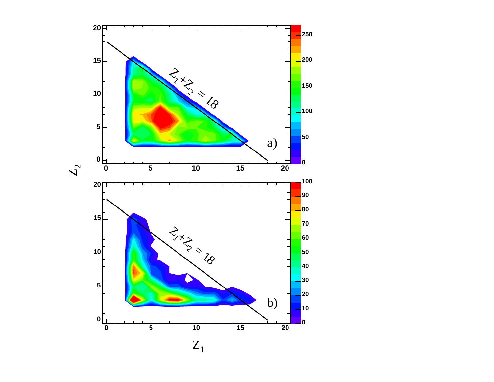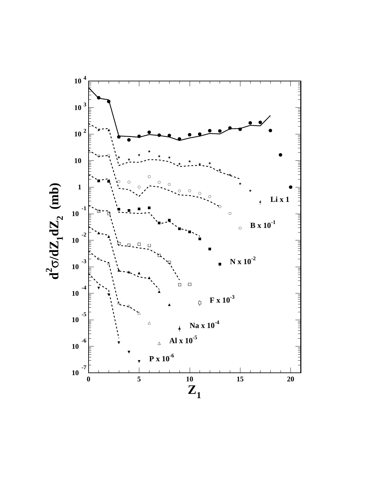